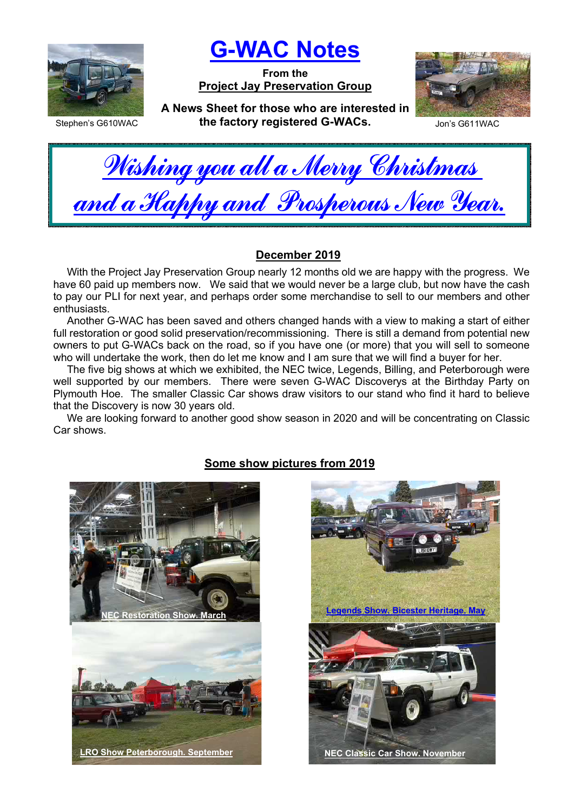

G-WAC Notes

From the Project Jay Preservation Group



Stephen's G610WAC

A News Sheet for those who are interested in the factory registered G-WACs. Jon's G611WAC



Wishing you all a Merry Christmas <u>and a Happy and Prosperous New Year.</u>

## December 2019

With the Project Jay Preservation Group nearly 12 months old we are happy with the progress. We have 60 paid up members now. We said that we would never be a large club, but now have the cash to pay our PLI for next year, and perhaps order some merchandise to sell to our members and other enthusiasts.

Another G-WAC has been saved and others changed hands with a view to making a start of either full restoration or good solid preservation/recommissioning. There is still a demand from potential new owners to put G-WACs back on the road, so if you have one (or more) that you will sell to someone who will undertake the work, then do let me know and I am sure that we will find a buyer for her.

The five big shows at which we exhibited, the NEC twice, Legends, Billing, and Peterborough were well supported by our members. There were seven G-WAC Discoverys at the Birthday Party on Plymouth Hoe. The smaller Classic Car shows draw visitors to our stand who find it hard to believe that the Discovery is now 30 years old.

We are looking forward to another good show season in 2020 and will be concentrating on Classic Car shows.



## Some show pictures from 2019